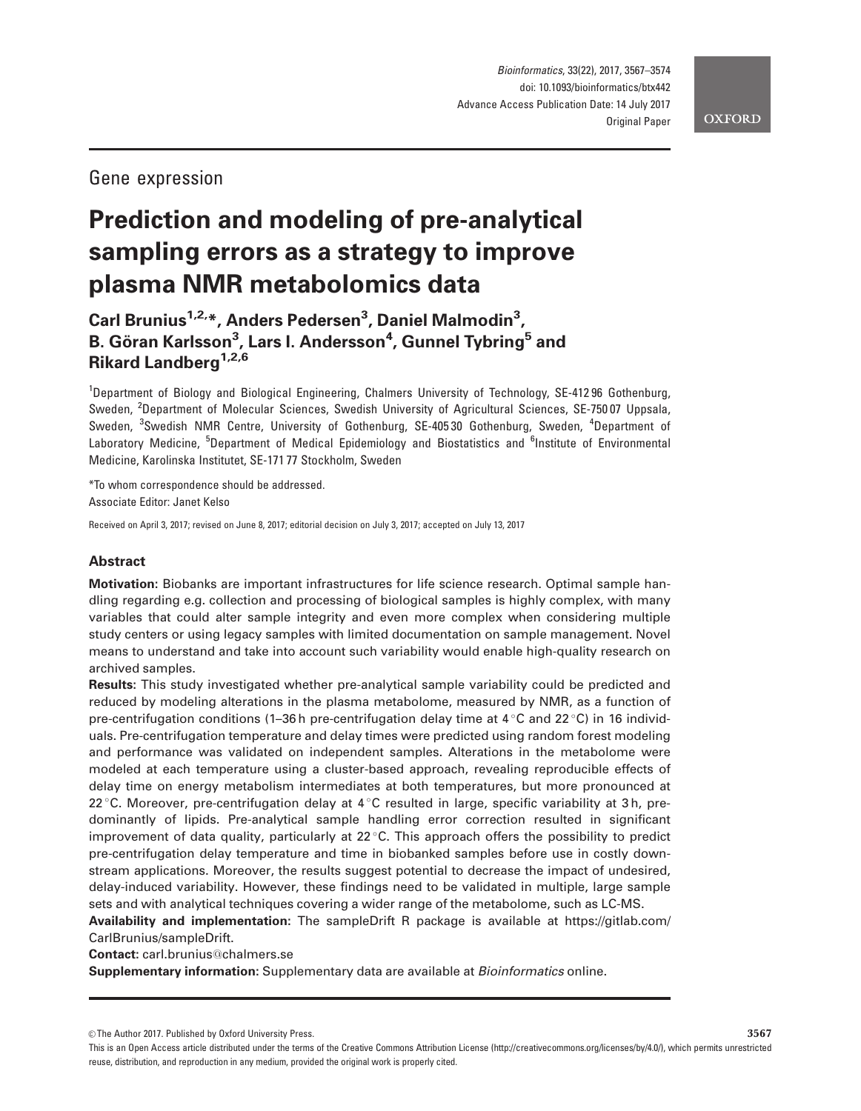## Gene expression

# Prediction and modeling of pre-analytical sampling errors as a strategy to improve plasma NMR metabolomics data

Carl Brunius<sup>1,2,</sup>\*, Anders Pedersen<sup>3</sup>, Daniel Malmodin<sup>3</sup>, B. Göran Karlsson<sup>3</sup>, Lars I. Andersson<sup>4</sup>, Gunnel Tybring<sup>5</sup> and Rikard Landberg<sup>1,2,6</sup>

<sup>1</sup>Department of Biology and Biological Engineering, Chalmers University of Technology, SE-41296 Gothenburg, Sweden, <sup>2</sup>Department of Molecular Sciences, Swedish University of Agricultural Sciences, SE-75007 Uppsala, Sweden, <sup>3</sup>Swedish NMR Centre, University of Gothenburg, SE-40530 Gothenburg, Sweden, <sup>4</sup>Department of Laboratory Medicine, <sup>5</sup>Department of Medical Epidemiology and Biostatistics and <sup>6</sup>Institute of Environmental Medicine, Karolinska Institutet, SE-171 77 Stockholm, Sweden

\*To whom correspondence should be addressed. Associate Editor: Janet Kelso

Received on April 3, 2017; revised on June 8, 2017; editorial decision on July 3, 2017; accepted on July 13, 2017

## Abstract

Motivation: Biobanks are important infrastructures for life science research. Optimal sample handling regarding e.g. collection and processing of biological samples is highly complex, with many variables that could alter sample integrity and even more complex when considering multiple study centers or using legacy samples with limited documentation on sample management. Novel means to understand and take into account such variability would enable high-quality research on archived samples.

Results: This study investigated whether pre-analytical sample variability could be predicted and reduced by modeling alterations in the plasma metabolome, measured by NMR, as a function of pre-centrifugation conditions (1–36 h pre-centrifugation delay time at  $4\degree$ C and 22 $\degree$ C) in 16 individuals. Pre-centrifugation temperature and delay times were predicted using random forest modeling and performance was validated on independent samples. Alterations in the metabolome were modeled at each temperature using a cluster-based approach, revealing reproducible effects of delay time on energy metabolism intermediates at both temperatures, but more pronounced at 22 °C. Moreover, pre-centrifugation delay at  $4\textdegree C$  resulted in large, specific variability at 3h, predominantly of lipids. Pre-analytical sample handling error correction resulted in significant improvement of data quality, particularly at  $22^{\circ}$ C. This approach offers the possibility to predict pre-centrifugation delay temperature and time in biobanked samples before use in costly downstream applications. Moreover, the results suggest potential to decrease the impact of undesired, delay-induced variability. However, these findings need to be validated in multiple, large sample sets and with analytical techniques covering a wider range of the metabolome, such as LC-MS.

Availability and implementation: The sampleDrift R package is available at [https://gitlab.com/](https://gitlab.com/CarlBrunius/sampleDrift) [CarlBrunius/sampleDrift](https://gitlab.com/CarlBrunius/sampleDrift).

Contact: carl.brunius@chalmers.se

Supplementary information: Supplementary data are available at Bioinformatics online.

 $\oslash$  The Author 2017. Published by Oxford University Press.  $3567$ 

This is an Open Access article distributed under the terms of the Creative Commons Attribution License (http://creativecommons.org/licenses/by/4.0/), which permits unrestricted reuse, distribution, and reproduction in any medium, provided the original work is properly cited.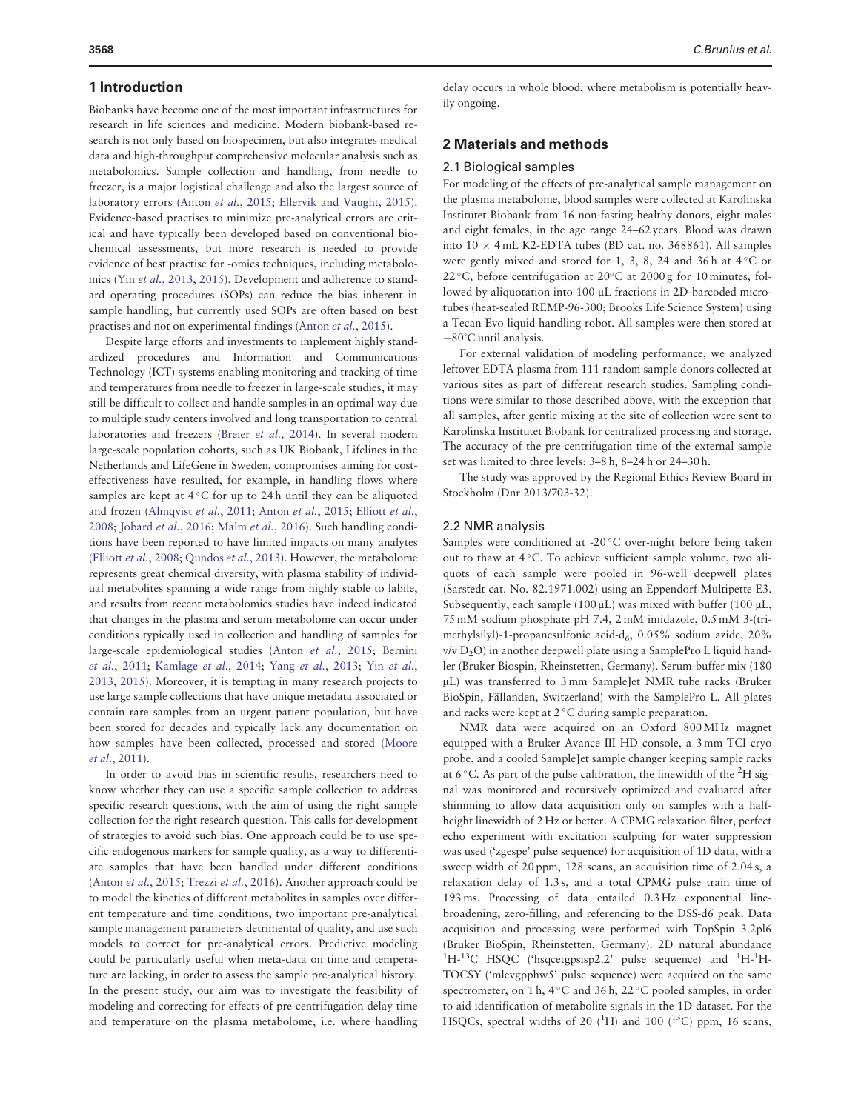#### 1 Introduction

Biobanks have become one of the most important infrastructures for research in life sciences and medicine. Modern biobank-based research is not only based on biospecimen, but also integrates medical data and high-throughput comprehensive molecular analysis such as metabolomics. Sample collection and handling, from needle to freezer, is a major logistical challenge and also the largest source of laboratory errors (Anton et al.[, 2015](#page-7-0); [Ellervik and Vaught, 2015](#page-7-0)). Evidence-based practises to minimize pre-analytical errors are critical and have typically been developed based on conventional biochemical assessments, but more research is needed to provide evidence of best practise for -omics techniques, including metabolomics (Yin et al.[, 2013](#page-7-0), [2015\)](#page-7-0). Development and adherence to standard operating procedures (SOPs) can reduce the bias inherent in sample handling, but currently used SOPs are often based on best practises and not on experimental findings (Anton et al.[, 2015\)](#page-7-0).

Despite large efforts and investments to implement highly standardized procedures and Information and Communications Technology (ICT) systems enabling monitoring and tracking of time and temperatures from needle to freezer in large-scale studies, it may still be difficult to collect and handle samples in an optimal way due to multiple study centers involved and long transportation to central laboratories and freezers (Breier et al.[, 2014\)](#page-7-0). In several modern large-scale population cohorts, such as UK Biobank, Lifelines in the Netherlands and LifeGene in Sweden, compromises aiming for costeffectiveness have resulted, for example, in handling flows where samples are kept at  $4^{\circ}$ C for up to 24h until they can be aliquoted and frozen ([Almqvist](#page-7-0) et al., 2011; Anton et al.[, 2015](#page-7-0); [Elliott](#page-7-0) et al., [2008;](#page-7-0) [Jobard](#page-7-0) et al.[, 2016](#page-7-0); Malm et al., 2016). Such handling conditions have been reported to have limited impacts on many analytes (Elliott et al.[, 2008;](#page-7-0) [Qundos](#page-7-0) et al., 2013). However, the metabolome represents great chemical diversity, with plasma stability of individual metabolites spanning a wide range from highly stable to labile, and results from recent metabolomics studies have indeed indicated that changes in the plasma and serum metabolome can occur under conditions typically used in collection and handling of samples for large-scale epidemiological studies (Anton et al.[, 2015](#page-7-0); [Bernini](#page-7-0) et al.[, 2011;](#page-7-0) [Kamlage](#page-7-0) et al., 2014; Yang et al.[, 2013;](#page-7-0) Yin [et al.](#page-7-0), [2013,](#page-7-0) [2015](#page-7-0)). Moreover, it is tempting in many research projects to use large sample collections that have unique metadata associated or contain rare samples from an urgent patient population, but have been stored for decades and typically lack any documentation on how samples have been collected, processed and stored ([Moore](#page-7-0) et al.[, 2011\)](#page-7-0).

In order to avoid bias in scientific results, researchers need to know whether they can use a specific sample collection to address specific research questions, with the aim of using the right sample collection for the right research question. This calls for development of strategies to avoid such bias. One approach could be to use specific endogenous markers for sample quality, as a way to differentiate samples that have been handled under different conditions (Anton et al.[, 2015;](#page-7-0) Trezzi et al.[, 2016\)](#page-7-0). Another approach could be to model the kinetics of different metabolites in samples over different temperature and time conditions, two important pre-analytical sample management parameters detrimental of quality, and use such models to correct for pre-analytical errors. Predictive modeling could be particularly useful when meta-data on time and temperature are lacking, in order to assess the sample pre-analytical history. In the present study, our aim was to investigate the feasibility of modeling and correcting for effects of pre-centrifugation delay time and temperature on the plasma metabolome, i.e. where handling

delay occurs in whole blood, where metabolism is potentially heavily ongoing.

#### 2 Materials and methods

#### 2.1 Biological samples

For modeling of the effects of pre-analytical sample management on the plasma metabolome, blood samples were collected at Karolinska Institutet Biobank from 16 non-fasting healthy donors, eight males and eight females, in the age range 24–62 years. Blood was drawn into  $10 \times 4$  mL K2-EDTA tubes (BD cat. no. 368861). All samples were gently mixed and stored for 1, 3, 8, 24 and 36 h at  $4^{\circ}$ C or 22 °C, before centrifugation at 20°C at 2000 g for 10 minutes, followed by aliquotation into 100 µL fractions in 2D-barcoded microtubes (heat-sealed REMP-96-300; Brooks Life Science System) using a Tecan Evo liquid handling robot. All samples were then stored at -80°C until analysis.

For external validation of modeling performance, we analyzed leftover EDTA plasma from 111 random sample donors collected at various sites as part of different research studies. Sampling conditions were similar to those described above, with the exception that all samples, after gentle mixing at the site of collection were sent to Karolinska Institutet Biobank for centralized processing and storage. The accuracy of the pre-centrifugation time of the external sample set was limited to three levels: 3–8 h, 8–24 h or 24–30 h.

The study was approved by the Regional Ethics Review Board in Stockholm (Dnr 2013/703-32).

#### 2.2 NMR analysis

Samples were conditioned at -20°C over-night before being taken out to thaw at 4°C. To achieve sufficient sample volume, two aliquots of each sample were pooled in 96-well deepwell plates (Sarstedt cat. No. 82.1971.002) using an Eppendorf Multipette E3. Subsequently, each sample (100  $\mu$ L) was mixed with buffer (100  $\mu$ L, 75 mM sodium phosphate pH 7.4, 2 mM imidazole, 0.5 mM 3-(trimethylsilyl)-1-propanesulfonic acid-d $_6$ , 0.05% sodium azide, 20% v/v D2O) in another deepwell plate using a SamplePro L liquid handler (Bruker Biospin, Rheinstetten, Germany). Serum-buffer mix (180 mL) was transferred to 3 mm SampleJet NMR tube racks (Bruker BioSpin, Fällanden, Switzerland) with the SamplePro L. All plates and racks were kept at  $2^{\circ}$ C during sample preparation.

NMR data were acquired on an Oxford 800 MHz magnet equipped with a Bruker Avance III HD console, a 3 mm TCI cryo probe, and a cooled SampleJet sample changer keeping sample racks at 6 $\degree$ C. As part of the pulse calibration, the linewidth of the  $^{2}H$  signal was monitored and recursively optimized and evaluated after shimming to allow data acquisition only on samples with a halfheight linewidth of 2 Hz or better. A CPMG relaxation filter, perfect echo experiment with excitation sculpting for water suppression was used ('zgespe' pulse sequence) for acquisition of 1D data, with a sweep width of 20 ppm, 128 scans, an acquisition time of 2.04 s, a relaxation delay of 1.3 s, and a total CPMG pulse train time of 193 ms. Processing of data entailed 0.3 Hz exponential linebroadening, zero-filling, and referencing to the DSS-d6 peak. Data acquisition and processing were performed with TopSpin 3.2pl6 (Bruker BioSpin, Rheinstetten, Germany). 2D natural abundance <sup>1</sup>H-<sup>13</sup>C HSQC ('hsqcetgpsisp2.2' pulse sequence) and <sup>1</sup>H-<sup>1</sup>H-TOCSY ('mlevgpphw5' pulse sequence) were acquired on the same spectrometer, on 1h, 4 °C and 36 h, 22 °C pooled samples, in order to aid identification of metabolite signals in the 1D dataset. For the HSQCs, spectral widths of 20 ( ${}^{1}$ H) and 100 ( ${}^{13}$ C) ppm, 16 scans,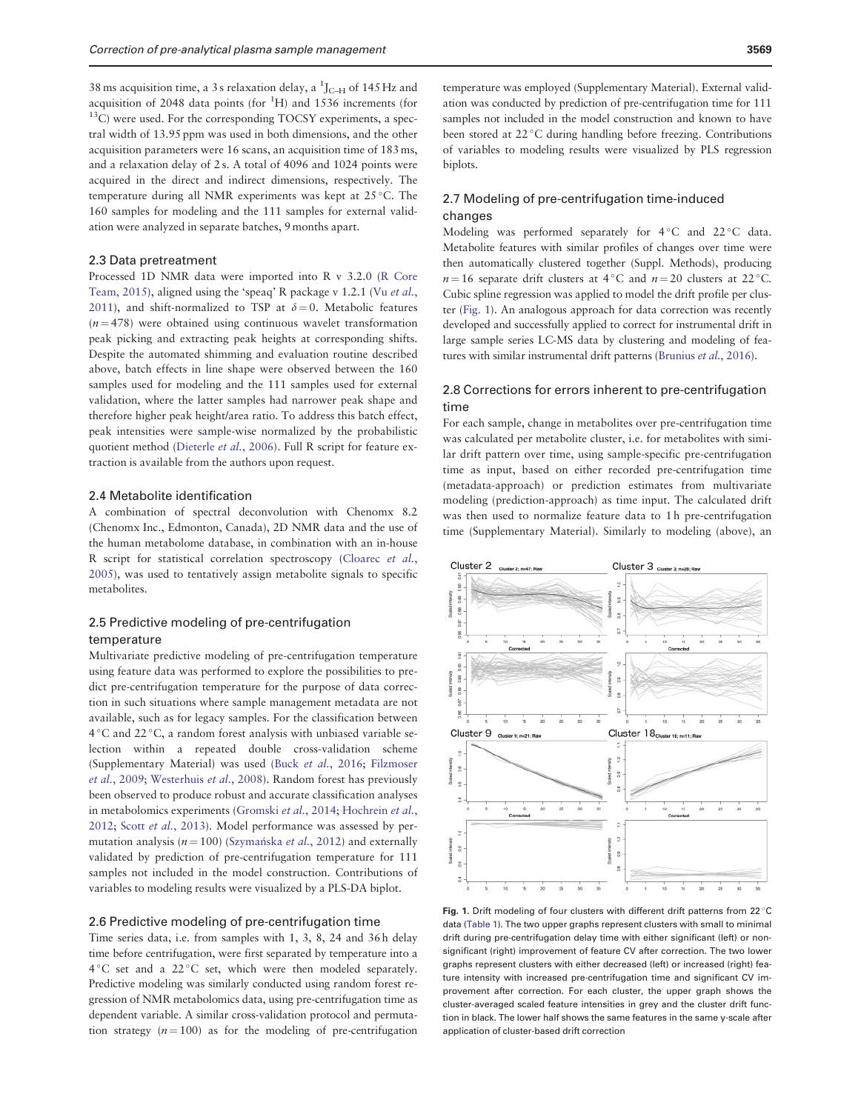<span id="page-2-0"></span>38 ms acquisition time, a 3 s relaxation delay, a  $^1$ J<sub>C-H</sub> of 145 Hz and acquisition of 2048 data points (for  ${}^{1}H$ ) and 1536 increments (for  $^{13}$ C) were used. For the corresponding TOCSY experiments, a spectral width of 13.95 ppm was used in both dimensions, and the other acquisition parameters were 16 scans, an acquisition time of 183 ms, and a relaxation delay of 2 s. A total of 4096 and 1024 points were acquired in the direct and indirect dimensions, respectively. The temperature during all NMR experiments was kept at 25 °C. The 160 samples for modeling and the 111 samples for external validation were analyzed in separate batches, 9 months apart.

## 2.3 Data pretreatment

Processed 1D NMR data were imported into R v 3.2.0 ([R Core](#page-7-0) [Team, 2015\)](#page-7-0), aligned using the 'speaq' R package v 1.2.1 (Vu [et al.](#page-7-0), [2011\)](#page-7-0), and shift-normalized to TSP at  $\delta = 0$ . Metabolic features  $(n = 478)$  were obtained using continuous wavelet transformation peak picking and extracting peak heights at corresponding shifts. Despite the automated shimming and evaluation routine described above, batch effects in line shape were observed between the 160 samples used for modeling and the 111 samples used for external validation, where the latter samples had narrower peak shape and therefore higher peak height/area ratio. To address this batch effect, peak intensities were sample-wise normalized by the probabilistic quotient method ([Dieterle](#page-7-0) et al., 2006). Full R script for feature extraction is available from the authors upon request.

#### 2.4 Metabolite identification

A combination of spectral deconvolution with Chenomx 8.2 (Chenomx Inc., Edmonton, Canada), 2D NMR data and the use of the human metabolome database, in combination with an in-house R script for statistical correlation spectroscopy ([Cloarec](#page-7-0) et al., [2005\)](#page-7-0), was used to tentatively assign metabolite signals to specific metabolites.

## 2.5 Predictive modeling of pre-centrifugation temperature

Multivariate predictive modeling of pre-centrifugation temperature using feature data was performed to explore the possibilities to predict pre-centrifugation temperature for the purpose of data correction in such situations where sample management metadata are not available, such as for legacy samples. For the classification between 4 °C and 22 °C, a random forest analysis with unbiased variable selection within a repeated double cross-validation scheme (Supplementary Material) was used (Buck et al.[, 2016](#page-7-0); [Filzmoser](#page-7-0) et al.[, 2009](#page-7-0); [Westerhuis](#page-7-0) et al., 2008). Random forest has previously been observed to produce robust and accurate classification analyses in metabolomics experiments [\(Gromski](#page-7-0) et al., 2014; [Hochrein](#page-7-0) et al., [2012;](#page-7-0) Scott et al.[, 2013](#page-7-0)). Model performance was assessed by permutation analysis (*n* = 100) [\(Szyma](#page-7-0)ńska *et al*.[, 2012\)](#page-7-0) and externally validated by prediction of pre-centrifugation temperature for 111 samples not included in the model construction. Contributions of variables to modeling results were visualized by a PLS-DA biplot.

#### 2.6 Predictive modeling of pre-centrifugation time

Time series data, i.e. from samples with 1, 3, 8, 24 and 36 h delay time before centrifugation, were first separated by temperature into a 4 °C set and a 22 °C set, which were then modeled separately. Predictive modeling was similarly conducted using random forest regression of NMR metabolomics data, using pre-centrifugation time as dependent variable. A similar cross-validation protocol and permutation strategy  $(n = 100)$  as for the modeling of pre-centrifugation

temperature was employed (Supplementary Material). External validation was conducted by prediction of pre-centrifugation time for 111 samples not included in the model construction and known to have been stored at 22 °C during handling before freezing. Contributions of variables to modeling results were visualized by PLS regression biplots.

## 2.7 Modeling of pre-centrifugation time-induced changes

Modeling was performed separately for  $4^{\circ}$ C and  $22^{\circ}$ C data. Metabolite features with similar profiles of changes over time were then automatically clustered together (Suppl. Methods), producing  $n = 16$  separate drift clusters at 4 °C and  $n = 20$  clusters at 22 °C. Cubic spline regression was applied to model the drift profile per cluster (Fig. 1). An analogous approach for data correction was recently developed and successfully applied to correct for instrumental drift in large sample series LC-MS data by clustering and modeling of features with similar instrumental drift patterns ([Brunius](#page-7-0) et al., 2016).

## 2.8 Corrections for errors inherent to pre-centrifugation time

For each sample, change in metabolites over pre-centrifugation time was calculated per metabolite cluster, i.e. for metabolites with similar drift pattern over time, using sample-specific pre-centrifugation time as input, based on either recorded pre-centrifugation time (metadata-approach) or prediction estimates from multivariate modeling (prediction-approach) as time input. The calculated drift was then used to normalize feature data to 1 h pre-centrifugation time (Supplementary Material). Similarly to modeling (above), an



Fig. 1. Drift modeling of four clusters with different drift patterns from 22 $\degree$ C data [\(Table 1](#page-5-0)). The two upper graphs represent clusters with small to minimal drift during pre-centrifugation delay time with either significant (left) or nonsignificant (right) improvement of feature CV after correction. The two lower graphs represent clusters with either decreased (left) or increased (right) feature intensity with increased pre-centrifugation time and significant CV improvement after correction. For each cluster, the upper graph shows the cluster-averaged scaled feature intensities in grey and the cluster drift function in black. The lower half shows the same features in the same y-scale after application of cluster-based drift correction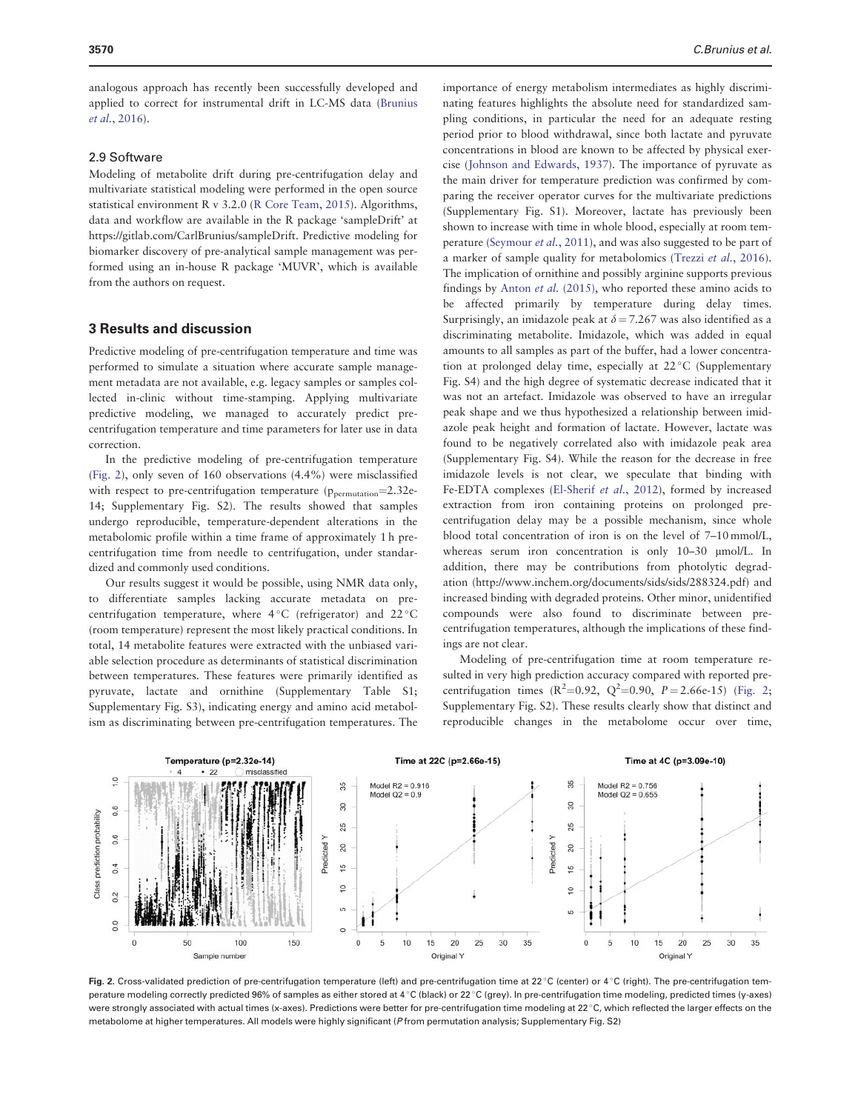analogous approach has recently been successfully developed and applied to correct for instrumental drift in LC-MS data ([Brunius](#page-7-0) et al.[, 2016\)](#page-7-0).

#### 2.9 Software

Modeling of metabolite drift during pre-centrifugation delay and multivariate statistical modeling were performed in the open source statistical environment R v 3.2.0 [\(R Core Team, 2015](#page-7-0)). Algorithms, data and workflow are available in the R package 'sampleDrift' at <https://gitlab.com/CarlBrunius/sampleDrift>. Predictive modeling for biomarker discovery of pre-analytical sample management was performed using an in-house R package 'MUVR', which is available from the authors on request.

#### 3 Results and discussion

Predictive modeling of pre-centrifugation temperature and time was performed to simulate a situation where accurate sample management metadata are not available, e.g. legacy samples or samples collected in-clinic without time-stamping. Applying multivariate predictive modeling, we managed to accurately predict precentrifugation temperature and time parameters for later use in data correction.

In the predictive modeling of pre-centrifugation temperature (Fig. 2), only seven of 160 observations (4.4%) were misclassified with respect to pre-centrifugation temperature  $(p_{\text{permutation}}=2.32e-$ 14; Supplementary Fig. S2). The results showed that samples undergo reproducible, temperature-dependent alterations in the metabolomic profile within a time frame of approximately 1 h precentrifugation time from needle to centrifugation, under standardized and commonly used conditions.

Our results suggest it would be possible, using NMR data only, to differentiate samples lacking accurate metadata on precentrifugation temperature, where 4 °C (refrigerator) and 22 °C (room temperature) represent the most likely practical conditions. In total, 14 metabolite features were extracted with the unbiased variable selection procedure as determinants of statistical discrimination between temperatures. These features were primarily identified as pyruvate, lactate and ornithine (Supplementary Table S1; Supplementary Fig. S3), indicating energy and amino acid metabolism as discriminating between pre-centrifugation temperatures. The

importance of energy metabolism intermediates as highly discriminating features highlights the absolute need for standardized sampling conditions, in particular the need for an adequate resting period prior to blood withdrawal, since both lactate and pyruvate concentrations in blood are known to be affected by physical exercise [\(Johnson and Edwards, 1937\)](#page-7-0). The importance of pyruvate as the main driver for temperature prediction was confirmed by comparing the receiver operator curves for the multivariate predictions (Supplementary Fig. S1). Moreover, lactate has previously been shown to increase with time in whole blood, especially at room temperature ([Seymour](#page-7-0) et al., 2011), and was also suggested to be part of a marker of sample quality for metabolomics (Trezzi et al.[, 2016](#page-7-0)). The implication of ornithine and possibly arginine supports previous findings by Anton et al. [\(2015\)](#page-7-0), who reported these amino acids to be affected primarily by temperature during delay times. Surprisingly, an imidazole peak at  $\delta = 7.267$  was also identified as a discriminating metabolite. Imidazole, which was added in equal amounts to all samples as part of the buffer, had a lower concentration at prolonged delay time, especially at 22 °C (Supplementary Fig. S4) and the high degree of systematic decrease indicated that it was not an artefact. Imidazole was observed to have an irregular peak shape and we thus hypothesized a relationship between imidazole peak height and formation of lactate. However, lactate was found to be negatively correlated also with imidazole peak area (Supplementary Fig. S4). While the reason for the decrease in free imidazole levels is not clear, we speculate that binding with Fe-EDTA complexes ([El-Sherif](#page-7-0) et al., 2012), formed by increased extraction from iron containing proteins on prolonged precentrifugation delay may be a possible mechanism, since whole blood total concentration of iron is on the level of 7–10 mmol/L, whereas serum iron concentration is only 10-30 µmol/L. In addition, there may be contributions from photolytic degradation ([http://www.inchem.org/documents/sids/sids/288324.pdf\)](http://www.inchem.org/documents/sids/sids/288324.pdf) and increased binding with degraded proteins. Other minor, unidentified compounds were also found to discriminate between precentrifugation temperatures, although the implications of these findings are not clear.

Modeling of pre-centrifugation time at room temperature resulted in very high prediction accuracy compared with reported precentrifugation times  $(R^2=0.92, Q^2=0.90, P=2.66e-15)$  (Fig. 2; Supplementary Fig. S2). These results clearly show that distinct and reproducible changes in the metabolome occur over time,



Fig. 2. Cross-validated prediction of pre-centrifugation temperature (left) and pre-centrifugation time at 22 °C (center) or 4 °C (right). The pre-centrifugation temperature modeling correctly predicted 96% of samples as either stored at 4°C (black) or 22°C (grey). In pre-centrifugation time modeling, predicted times (y-axes) were strongly associated with actual times (x-axes). Predictions were better for pre-centrifugation time modeling at 22 °C, which reflected the larger effects on the metabolome at higher temperatures. All models were highly significant (P from permutation analysis; Supplementary Fig. S2)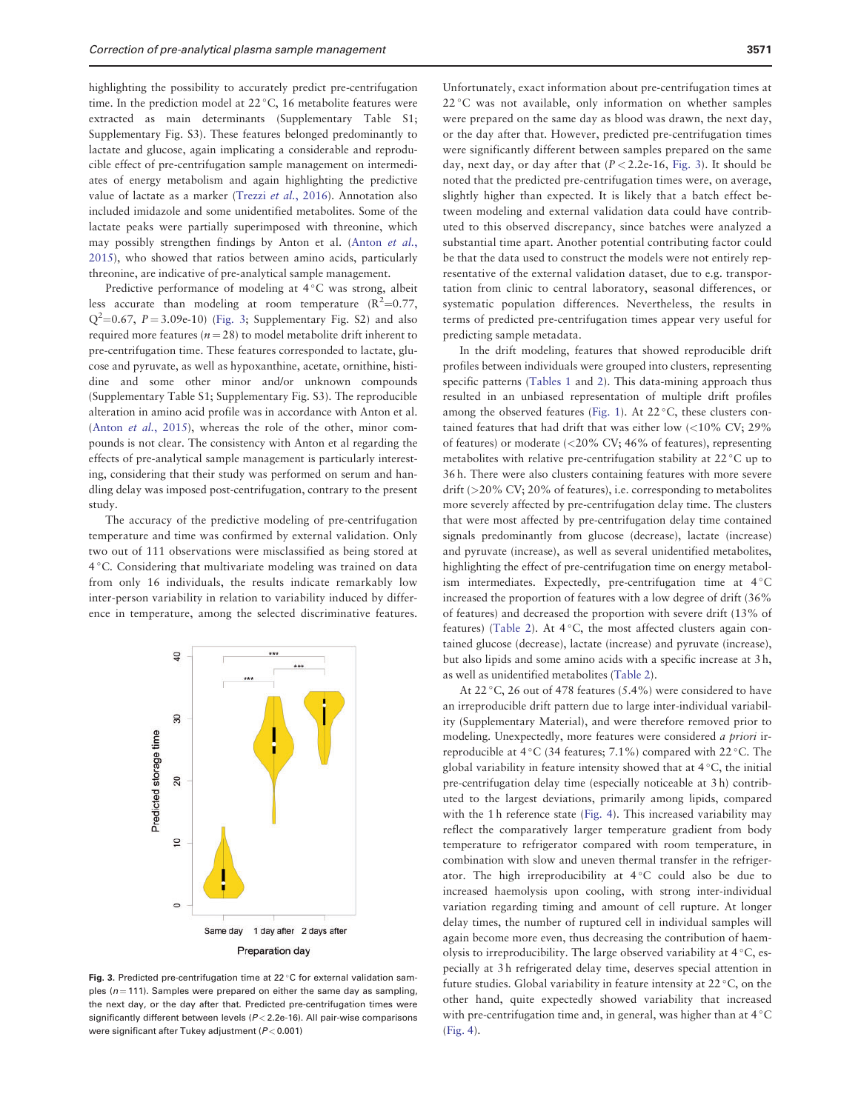highlighting the possibility to accurately predict pre-centrifugation time. In the prediction model at 22 °C, 16 metabolite features were extracted as main determinants (Supplementary Table S1; Supplementary Fig. S3). These features belonged predominantly to lactate and glucose, again implicating a considerable and reproducible effect of pre-centrifugation sample management on intermediates of energy metabolism and again highlighting the predictive value of lactate as a marker (Trezzi et al.[, 2016](#page-7-0)). Annotation also included imidazole and some unidentified metabolites. Some of the lactate peaks were partially superimposed with threonine, which may possibly strengthen findings by Anton et al. [\(Anton](#page-7-0) et al., [2015\)](#page-7-0), who showed that ratios between amino acids, particularly threonine, are indicative of pre-analytical sample management.

Predictive performance of modeling at 4 °C was strong, albeit less accurate than modeling at room temperature  $(R^2=0.77,$  $Q^2$ =0.67, P = 3.09e-10) (Fig. 3; Supplementary Fig. S2) and also required more features ( $n = 28$ ) to model metabolite drift inherent to pre-centrifugation time. These features corresponded to lactate, glucose and pyruvate, as well as hypoxanthine, acetate, ornithine, histidine and some other minor and/or unknown compounds (Supplementary Table S1; Supplementary Fig. S3). The reproducible alteration in amino acid profile was in accordance with Anton et al. (Anton et al.[, 2015\)](#page-7-0), whereas the role of the other, minor compounds is not clear. The consistency with Anton et al regarding the effects of pre-analytical sample management is particularly interesting, considering that their study was performed on serum and handling delay was imposed post-centrifugation, contrary to the present study.

The accuracy of the predictive modeling of pre-centrifugation temperature and time was confirmed by external validation. Only two out of 111 observations were misclassified as being stored at 4 °C. Considering that multivariate modeling was trained on data from only 16 individuals, the results indicate remarkably low inter-person variability in relation to variability induced by difference in temperature, among the selected discriminative features.



Fig. 3. Predicted pre-centrifugation time at  $22^{\circ}$ C for external validation samples ( $n = 111$ ). Samples were prepared on either the same day as sampling, the next day, or the day after that. Predicted pre-centrifugation times were significantly different between levels  $(P < 2.2e-16)$ . All pair-wise comparisons were significant after Tukey adjustment ( $P < 0.001$ )

Unfortunately, exact information about pre-centrifugation times at 22 °C was not available, only information on whether samples were prepared on the same day as blood was drawn, the next day, or the day after that. However, predicted pre-centrifugation times were significantly different between samples prepared on the same day, next day, or day after that  $(P < 2.2e-16$ , Fig. 3). It should be noted that the predicted pre-centrifugation times were, on average, slightly higher than expected. It is likely that a batch effect between modeling and external validation data could have contributed to this observed discrepancy, since batches were analyzed a substantial time apart. Another potential contributing factor could be that the data used to construct the models were not entirely representative of the external validation dataset, due to e.g. transportation from clinic to central laboratory, seasonal differences, or systematic population differences. Nevertheless, the results in terms of predicted pre-centrifugation times appear very useful for predicting sample metadata.

In the drift modeling, features that showed reproducible drift profiles between individuals were grouped into clusters, representing specific patterns ([Tables 1](#page-5-0) and [2](#page-5-0)). This data-mining approach thus resulted in an unbiased representation of multiple drift profiles among the observed features [\(Fig. 1\)](#page-2-0). At  $22^{\circ}$ C, these clusters contained features that had drift that was either low (<10% CV; 29% of features) or moderate (<20% CV; 46% of features), representing metabolites with relative pre-centrifugation stability at 22 °C up to 36 h. There were also clusters containing features with more severe drift (>20% CV; 20% of features), i.e. corresponding to metabolites more severely affected by pre-centrifugation delay time. The clusters that were most affected by pre-centrifugation delay time contained signals predominantly from glucose (decrease), lactate (increase) and pyruvate (increase), as well as several unidentified metabolites, highlighting the effect of pre-centrifugation time on energy metabolism intermediates. Expectedly, pre-centrifugation time at  $4^{\circ}$ C increased the proportion of features with a low degree of drift (36% of features) and decreased the proportion with severe drift (13% of features) ([Table 2](#page-5-0)). At  $4^{\circ}$ C, the most affected clusters again contained glucose (decrease), lactate (increase) and pyruvate (increase), but also lipids and some amino acids with a specific increase at 3 h, as well as unidentified metabolites ([Table 2\)](#page-5-0).

At 22 °C, 26 out of 478 features (5.4%) were considered to have an irreproducible drift pattern due to large inter-individual variability (Supplementary Material), and were therefore removed prior to modeling. Unexpectedly, more features were considered a priori irreproducible at 4 °C (34 features; 7.1%) compared with 22 °C. The global variability in feature intensity showed that at  $4^{\circ}$ C, the initial pre-centrifugation delay time (especially noticeable at 3 h) contributed to the largest deviations, primarily among lipids, compared with the 1 h reference state ([Fig. 4\)](#page-6-0). This increased variability may reflect the comparatively larger temperature gradient from body temperature to refrigerator compared with room temperature, in combination with slow and uneven thermal transfer in the refrigerator. The high irreproducibility at  $4^{\circ}$ C could also be due to increased haemolysis upon cooling, with strong inter-individual variation regarding timing and amount of cell rupture. At longer delay times, the number of ruptured cell in individual samples will again become more even, thus decreasing the contribution of haemolysis to irreproducibility. The large observed variability at  $4^{\circ}$ C, especially at 3 h refrigerated delay time, deserves special attention in future studies. Global variability in feature intensity at  $22^{\circ}$ C, on the other hand, quite expectedly showed variability that increased with pre-centrifugation time and, in general, was higher than at  $4^{\circ}$ C ([Fig. 4](#page-6-0)).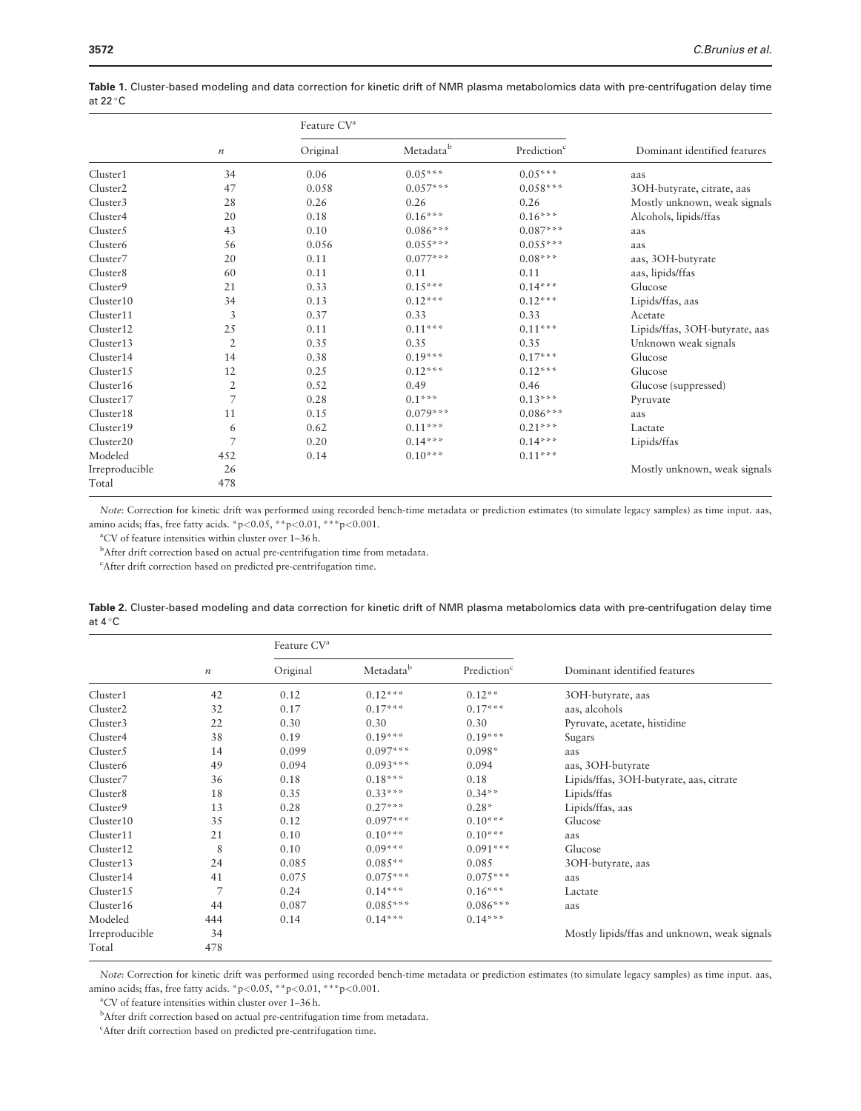|                      |                  | Feature CV <sup>a</sup> |            |                         |                                |
|----------------------|------------------|-------------------------|------------|-------------------------|--------------------------------|
|                      | $\boldsymbol{n}$ | Original                | Metadatab  | Prediction <sup>c</sup> | Dominant identified features   |
| Cluster1             | 34               | 0.06                    | $0.05***$  | $0.05***$               | aas                            |
| Cluster <sub>2</sub> | 47               | 0.058                   | $0.057***$ | $0.058***$              | 3OH-butyrate, citrate, aas     |
| Cluster <sub>3</sub> | 28               | 0.26                    | 0.26       | 0.26                    | Mostly unknown, weak signals   |
| Cluster4             | 20               | 0.18                    | $0.16***$  | $0.16***$               | Alcohols, lipids/ffas          |
| Cluster5             | 43               | 0.10                    | $0.086***$ | $0.087***$              | aas                            |
| Cluster <sub>6</sub> | 56               | 0.056                   | $0.055***$ | $0.055***$              | aas                            |
| Cluster <sub>7</sub> | 20               | 0.11                    | $0.077***$ | $0.08***$               | aas, 3OH-butyrate              |
| Cluster <sub>8</sub> | 60               | 0.11                    | 0.11       | 0.11                    | aas, lipids/ffas               |
| Cluster9             | 21               | 0.33                    | $0.15***$  | $0.14***$               | Glucose                        |
| Cluster10            | 34               | 0.13                    | $0.12***$  | $0.12***$               | Lipids/ffas, aas               |
| Cluster11            | 3                | 0.37                    | 0.33       | 0.33                    | Acetate                        |
| Cluster12            | 25               | 0.11                    | $0.11***$  | $0.11***$               | Lipids/ffas, 3OH-butyrate, aas |
| Cluster13            | $\mathfrak{2}$   | 0.35                    | 0.35       | 0.35                    | Unknown weak signals           |
| Cluster14            | 14               | 0.38                    | $0.19***$  | $0.17***$               | Glucose                        |
| Cluster15            | 12               | 0.25                    | $0.12***$  | $0.12***$               | Glucose                        |
| Cluster16            | $\mathfrak{2}$   | 0.52                    | 0.49       | 0.46                    | Glucose (suppressed)           |
| Cluster17            | 7                | 0.28                    | $0.1***$   | $0.13***$               | Pyruvate                       |
| Cluster18            | 11               | 0.15                    | $0.079***$ | $0.086***$              | aas                            |
| Cluster19            | 6                | 0.62                    | $0.11***$  | $0.21***$               | Lactate                        |
| Cluster20            | 7                | 0.20                    | $0.14***$  | $0.14***$               | Lipids/ffas                    |
| Modeled              | 452              | 0.14                    | $0.10***$  | $0.11***$               |                                |
| Irreproducible       | 26               |                         |            |                         | Mostly unknown, weak signals   |
| Total                | 478              |                         |            |                         |                                |

<span id="page-5-0"></span>Table 1. Cluster-based modeling and data correction for kinetic drift of NMR plasma metabolomics data with pre-centrifugation delay time at 22  $^{\circ}$ C

Note: Correction for kinetic drift was performed using recorded bench-time metadata or prediction estimates (to simulate legacy samples) as time input. aas, amino acids; ffas, free fatty acids. \*p<0.05, \*\*p<0.01, \*\*\*p<0.001.

a CV of feature intensities within cluster over 1–36 h.

<sup>b</sup>After drift correction based on actual pre-centrifugation time from metadata.

c After drift correction based on predicted pre-centrifugation time.

|                  | Table 2. Cluster-based modeling and data correction for kinetic drift of NMR plasma metabolomics data with pre-centrifugation delay time |  |  |
|------------------|------------------------------------------------------------------------------------------------------------------------------------------|--|--|
| at $4^{\circ}$ C |                                                                                                                                          |  |  |

|                       | $\boldsymbol{n}$ | Feature CV <sup>a</sup> |            |                         |                                              |
|-----------------------|------------------|-------------------------|------------|-------------------------|----------------------------------------------|
|                       |                  | Original                | Metadatab  | Prediction <sup>c</sup> | Dominant identified features                 |
| Cluster1              | 42               | 0.12                    | $0.12***$  | $0.12**$                | 3OH-butyrate, aas                            |
| Cluster <sub>2</sub>  | 32               | 0.17                    | $0.17***$  | $0.17***$               | aas, alcohols                                |
| Cluster3              | 22               | 0.30                    | 0.30       | 0.30                    | Pyruvate, acetate, histidine                 |
| Cluster4              | 38               | 0.19                    | $0.19***$  | $0.19***$               | Sugars                                       |
| Cluster <sub>5</sub>  | 14               | 0.099                   | $0.097***$ | $0.098*$                | aas                                          |
| Cluster <sub>6</sub>  | 49               | 0.094                   | $0.093***$ | 0.094                   | aas, 3OH-butyrate                            |
| Cluster7              | 36               | 0.18                    | $0.18***$  | 0.18                    | Lipids/ffas, 3OH-butyrate, aas, citrate      |
| Cluster <sub>8</sub>  | 18               | 0.35                    | $0.33***$  | $0.34**$                | Lipids/ffas                                  |
| Cluster9              | 13               | 0.28                    | $0.27***$  | $0.28*$                 | Lipids/ffas, aas                             |
| Cluster10             | 35               | 0.12                    | $0.097***$ | $0.10***$               | Glucose                                      |
| Cluster11             | 21               | 0.10                    | $0.10***$  | $0.10***$               | aas                                          |
| Cluster <sub>12</sub> | 8                | 0.10                    | $0.09***$  | $0.091***$              | Glucose                                      |
| Cluster13             | 24               | 0.085                   | $0.085**$  | 0.085                   | 3OH-butyrate, aas                            |
| Cluster14             | 41               | 0.075                   | $0.075***$ | $0.075***$              | aas                                          |
| Cluster15             | $\overline{7}$   | 0.24                    | $0.14***$  | $0.16***$               | Lactate                                      |
| Cluster16             | 44               | 0.087                   | $0.085***$ | $0.086***$              | aas                                          |
| Modeled               | 444              | 0.14                    | $0.14***$  | $0.14***$               |                                              |
| Irreproducible        | 34               |                         |            |                         | Mostly lipids/ffas and unknown, weak signals |
| Total                 | 478              |                         |            |                         |                                              |

Note: Correction for kinetic drift was performed using recorded bench-time metadata or prediction estimates (to simulate legacy samples) as time input. aas, amino acids; ffas, free fatty acids. \*p<0.05, \*\*p<0.01, \*\*\*p<0.001.

a CV of feature intensities within cluster over 1–36 h.

<sup>b</sup>After drift correction based on actual pre-centrifugation time from metadata.

c After drift correction based on predicted pre-centrifugation time.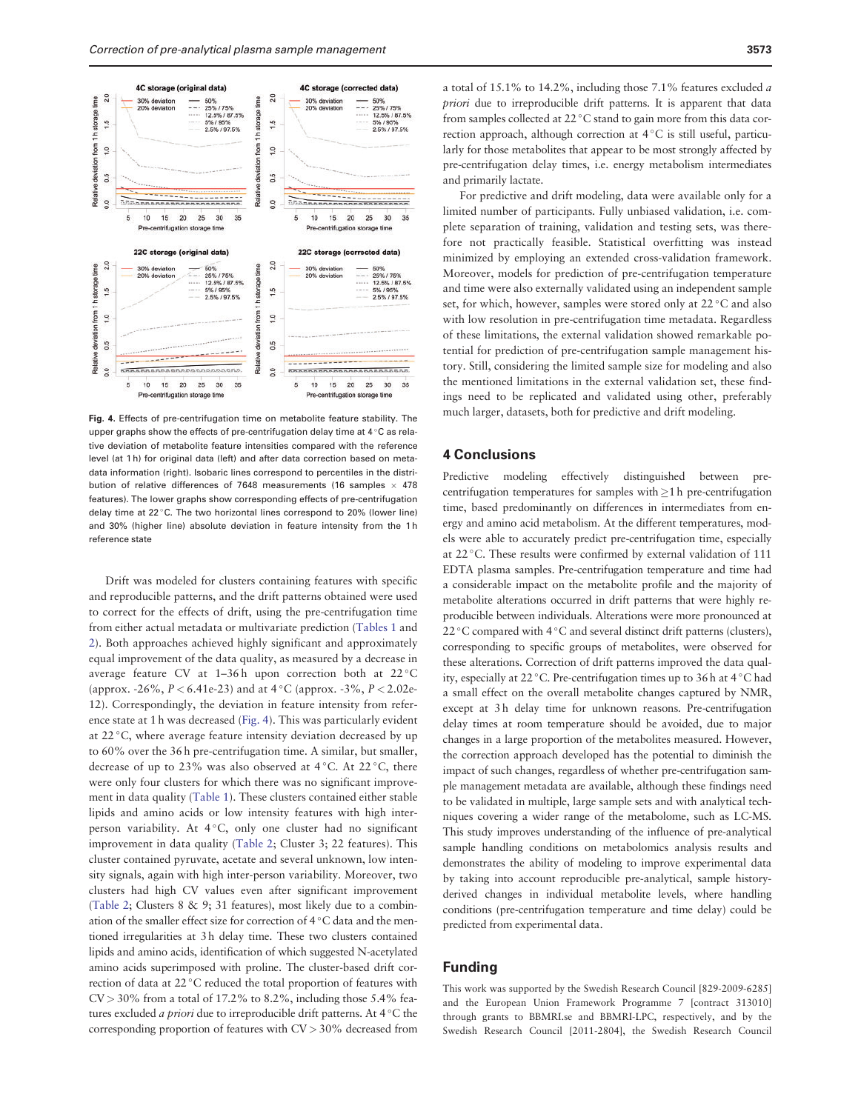<span id="page-6-0"></span>

Fig. 4. Effects of pre-centrifugation time on metabolite feature stability. The upper graphs show the effects of pre-centrifugation delay time at  $4^{\circ}$ C as relative deviation of metabolite feature intensities compared with the reference level (at 1 h) for original data (left) and after data correction based on metadata information (right). Isobaric lines correspond to percentiles in the distribution of relative differences of 7648 measurements (16 samples  $\times$  478 features). The lower graphs show corresponding effects of pre-centrifugation delay time at 22 °C. The two horizontal lines correspond to 20% (lower line) and 30% (higher line) absolute deviation in feature intensity from the 1 h reference state

Drift was modeled for clusters containing features with specific and reproducible patterns, and the drift patterns obtained were used to correct for the effects of drift, using the pre-centrifugation time from either actual metadata or multivariate prediction [\(Tables 1](#page-5-0) and [2\)](#page-5-0). Both approaches achieved highly significant and approximately equal improvement of the data quality, as measured by a decrease in average feature CV at 1-36h upon correction both at 22 °C (approx. -26%,  $P < 6.41e-23$ ) and at  $4^{\circ}$ C (approx. -3%,  $P < 2.02e-$ 12). Correspondingly, the deviation in feature intensity from reference state at 1 h was decreased (Fig. 4). This was particularly evident at 22 °C, where average feature intensity deviation decreased by up to 60% over the 36 h pre-centrifugation time. A similar, but smaller, decrease of up to 23% was also observed at  $4^{\circ}$ C. At 22 $^{\circ}$ C, there were only four clusters for which there was no significant improvement in data quality [\(Table 1](#page-5-0)). These clusters contained either stable lipids and amino acids or low intensity features with high interperson variability. At 4°C, only one cluster had no significant improvement in data quality ([Table 2](#page-5-0); Cluster 3; 22 features). This cluster contained pyruvate, acetate and several unknown, low intensity signals, again with high inter-person variability. Moreover, two clusters had high CV values even after significant improvement ([Table 2;](#page-5-0) Clusters 8 & 9; 31 features), most likely due to a combination of the smaller effect size for correction of 4 °C data and the mentioned irregularities at 3 h delay time. These two clusters contained lipids and amino acids, identification of which suggested N-acetylated amino acids superimposed with proline. The cluster-based drift correction of data at 22 °C reduced the total proportion of features with  $CV > 30\%$  from a total of 17.2% to 8.2%, including those 5.4% features excluded *a priori* due to irreproducible drift patterns. At 4 °C the corresponding proportion of features with CV > 30% decreased from

a total of 15.1% to 14.2%, including those 7.1% features excluded a priori due to irreproducible drift patterns. It is apparent that data from samples collected at 22 °C stand to gain more from this data correction approach, although correction at 4 °C is still useful, particularly for those metabolites that appear to be most strongly affected by pre-centrifugation delay times, i.e. energy metabolism intermediates and primarily lactate.

For predictive and drift modeling, data were available only for a limited number of participants. Fully unbiased validation, i.e. complete separation of training, validation and testing sets, was therefore not practically feasible. Statistical overfitting was instead minimized by employing an extended cross-validation framework. Moreover, models for prediction of pre-centrifugation temperature and time were also externally validated using an independent sample set, for which, however, samples were stored only at 22 °C and also with low resolution in pre-centrifugation time metadata. Regardless of these limitations, the external validation showed remarkable potential for prediction of pre-centrifugation sample management history. Still, considering the limited sample size for modeling and also the mentioned limitations in the external validation set, these findings need to be replicated and validated using other, preferably much larger, datasets, both for predictive and drift modeling.

#### 4 Conclusions

Predictive modeling effectively distinguished between precentrifugation temperatures for samples with $>1$  h pre-centrifugation time, based predominantly on differences in intermediates from energy and amino acid metabolism. At the different temperatures, models were able to accurately predict pre-centrifugation time, especially at 22 °C. These results were confirmed by external validation of 111 EDTA plasma samples. Pre-centrifugation temperature and time had a considerable impact on the metabolite profile and the majority of metabolite alterations occurred in drift patterns that were highly reproducible between individuals. Alterations were more pronounced at 22 °C compared with 4 °C and several distinct drift patterns (clusters), corresponding to specific groups of metabolites, were observed for these alterations. Correction of drift patterns improved the data quality, especially at 22 °C. Pre-centrifugation times up to 36 h at 4 °C had a small effect on the overall metabolite changes captured by NMR, except at 3 h delay time for unknown reasons. Pre-centrifugation delay times at room temperature should be avoided, due to major changes in a large proportion of the metabolites measured. However, the correction approach developed has the potential to diminish the impact of such changes, regardless of whether pre-centrifugation sample management metadata are available, although these findings need to be validated in multiple, large sample sets and with analytical techniques covering a wider range of the metabolome, such as LC-MS. This study improves understanding of the influence of pre-analytical sample handling conditions on metabolomics analysis results and demonstrates the ability of modeling to improve experimental data by taking into account reproducible pre-analytical, sample historyderived changes in individual metabolite levels, where handling conditions (pre-centrifugation temperature and time delay) could be predicted from experimental data.

#### Funding

This work was supported by the Swedish Research Council [829-2009-6285] and the European Union Framework Programme 7 [contract 313010] through grants to BBMRI.se and BBMRI-LPC, respectively, and by the Swedish Research Council [2011-2804], the Swedish Research Council